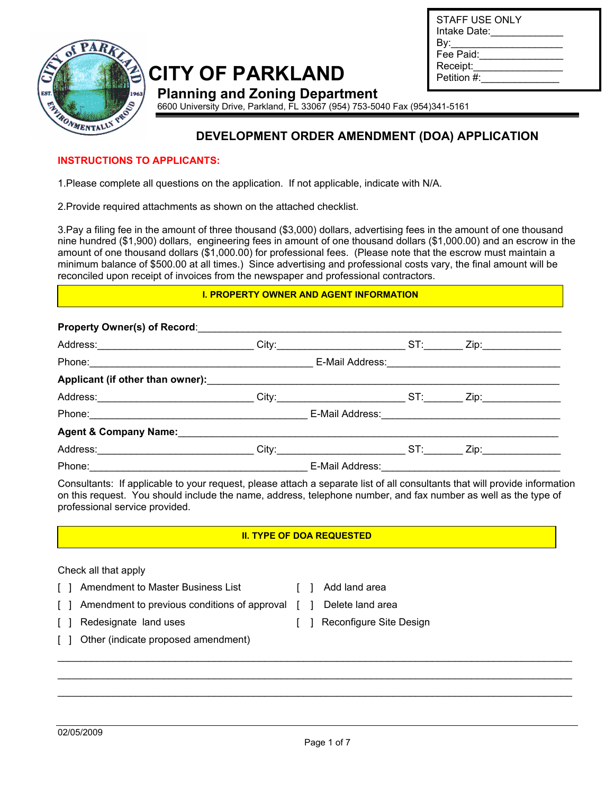

## **CITY OF PARKLAND**

| STAFF USE ONLY<br>Intake Date: |  |
|--------------------------------|--|
| Bv:                            |  |
| Fee Paid:                      |  |
| Receipt:                       |  |
| Petition #:                    |  |
|                                |  |

**Planning and Zoning Department**  6600 University Drive, Parkland, FL 33067 (954) 753-5040 Fax (954)341-5161

## **DEVELOPMENT ORDER AMENDMENT (DOA) APPLICATION**

#### **INSTRUCTIONS TO APPLICANTS:**

1.Please complete all questions on the application. If not applicable, indicate with N/A.

2.Provide required attachments as shown on the attached checklist.

3.Pay a filing fee in the amount of three thousand (\$3,000) dollars, advertising fees in the amount of one thousand nine hundred (\$1,900) dollars, engineering fees in amount of one thousand dollars (\$1,000.00) and an escrow in the amount of one thousand dollars (\$1,000.00) for professional fees. (Please note that the escrow must maintain a minimum balance of \$500.00 at all times.) Since advertising and professional costs vary, the final amount will be reconciled upon receipt of invoices from the newspaper and professional contractors.

#### **I. PROPERTY OWNER AND AGENT INFORMATION**

#### **Property Owner(s) of Record:**

| Agent & Company Name: Mannell Agent & Company Name: |                                      |                      |  |
|-----------------------------------------------------|--------------------------------------|----------------------|--|
|                                                     |                                      | Zip:________________ |  |
|                                                     | E-Mail Address: <u>Communication</u> |                      |  |

Consultants: If applicable to your request, please attach a separate list of all consultants that will provide information on this request. You should include the name, address, telephone number, and fax number as well as the type of professional service provided.

#### **II. TYPE OF DOA REQUESTED**

#### Check all that apply

- [ ] Amendment to Master Business List [ ] Add land area
- 
- [ ] Amendment to previous conditions of approval [ ] Delete land area
- [ ] Redesignate land uses [ ] Reconfigure Site Design
- -
- [ ] Other (indicate proposed amendment)

\_\_\_\_\_\_\_\_\_\_\_\_\_\_\_\_\_\_\_\_\_\_\_\_\_\_\_\_\_\_\_\_\_\_\_\_\_\_\_\_\_\_\_\_\_\_\_\_\_\_\_\_\_\_\_\_\_\_\_\_\_\_\_\_\_\_\_\_\_\_\_\_\_\_\_\_\_\_\_\_\_\_\_\_\_\_\_\_\_\_\_\_ \_\_\_\_\_\_\_\_\_\_\_\_\_\_\_\_\_\_\_\_\_\_\_\_\_\_\_\_\_\_\_\_\_\_\_\_\_\_\_\_\_\_\_\_\_\_\_\_\_\_\_\_\_\_\_\_\_\_\_\_\_\_\_\_\_\_\_\_\_\_\_\_\_\_\_\_\_\_\_\_\_\_\_\_\_\_\_\_\_\_\_\_  $\_$  ,  $\_$  ,  $\_$  ,  $\_$  ,  $\_$  ,  $\_$  ,  $\_$  ,  $\_$  ,  $\_$  ,  $\_$  ,  $\_$  ,  $\_$  ,  $\_$  ,  $\_$  ,  $\_$  ,  $\_$  ,  $\_$  ,  $\_$  ,  $\_$  ,  $\_$  ,  $\_$  ,  $\_$  ,  $\_$  ,  $\_$  ,  $\_$  ,  $\_$  ,  $\_$  ,  $\_$  ,  $\_$  ,  $\_$  ,  $\_$  ,  $\_$  ,  $\_$  ,  $\_$  ,  $\_$  ,  $\_$  ,  $\_$  ,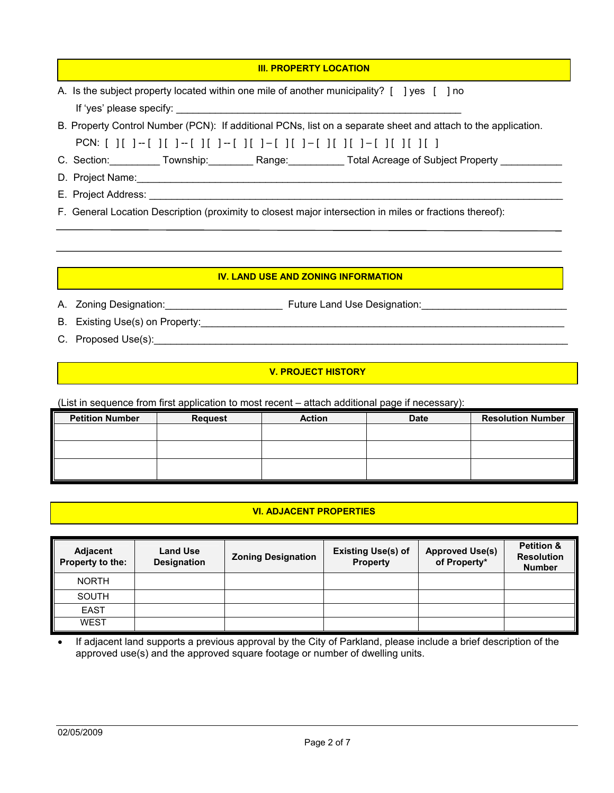| <b>III. PROPERTY LOCATION</b>                                                                                          |
|------------------------------------------------------------------------------------------------------------------------|
| A. Is the subject property located within one mile of another municipality? $\lceil \ \rceil$ yes $\lceil \ \rceil$ no |
|                                                                                                                        |
| B. Property Control Number (PCN): If additional PCNs, list on a separate sheet and attach to the application.          |
|                                                                                                                        |
| C. Section: Township: Range: Total Acreage of Subject Property C. Section: Total Acreage of Subject Property           |
| D. Project Name: 1980 and 200 and 200 and 200 and 200 and 200 and 200 and 200 and 200 and 200 and 200 and 200          |
|                                                                                                                        |
| F. General Location Description (proximity to closest major intersection in miles or fractions thereof):               |

#### **IV. LAND USE AND ZONING INFORMATION**

A. Zoning Designation:\_\_\_\_\_\_\_\_\_\_\_\_\_\_\_\_\_\_\_\_\_ Future Land Use Designation:\_\_\_\_\_\_\_\_\_\_\_\_\_\_\_\_\_\_\_\_\_\_\_\_\_\_

- B. Existing Use(s) on Property:\_\_\_\_\_\_\_\_\_\_\_\_\_\_\_\_\_\_\_\_\_\_\_\_\_\_\_\_\_\_\_\_\_\_\_\_\_\_\_\_\_\_\_\_\_\_\_\_\_\_\_\_\_\_\_\_\_\_\_\_\_\_\_\_\_
- C. Proposed Use(s): example and the contract of the contract of the contract of the contract of the contract of the contract of the contract of the contract of the contract of the contract of the contract of the contract o

#### **V. PROJECT HISTORY**

(List in sequence from first application to most recent – attach additional page if necessary):

| <b>Petition Number</b> | <b>Request</b> | <b>Action</b> | <b>Date</b> | <b>Resolution Number</b> |
|------------------------|----------------|---------------|-------------|--------------------------|
|                        |                |               |             |                          |
|                        |                |               |             |                          |
|                        |                |               |             |                          |
|                        |                |               |             |                          |

## **VI. ADJACENT PROPERTIES**

| Adjacent<br>Property to the: | <b>Land Use</b><br><b>Designation</b> | <b>Zoning Designation</b> | <b>Existing Use(s) of</b><br><b>Property</b> | <b>Approved Use(s)</b><br>of Property* | <b>Petition &amp;</b><br><b>Resolution</b><br><b>Number</b> |
|------------------------------|---------------------------------------|---------------------------|----------------------------------------------|----------------------------------------|-------------------------------------------------------------|
| <b>NORTH</b>                 |                                       |                           |                                              |                                        |                                                             |
| <b>SOUTH</b>                 |                                       |                           |                                              |                                        |                                                             |
| <b>EAST</b>                  |                                       |                           |                                              |                                        |                                                             |
| <b>WEST</b>                  |                                       |                           |                                              |                                        |                                                             |

If adjacent land supports a previous approval by the City of Parkland, please include a brief description of the approved use(s) and the approved square footage or number of dwelling units.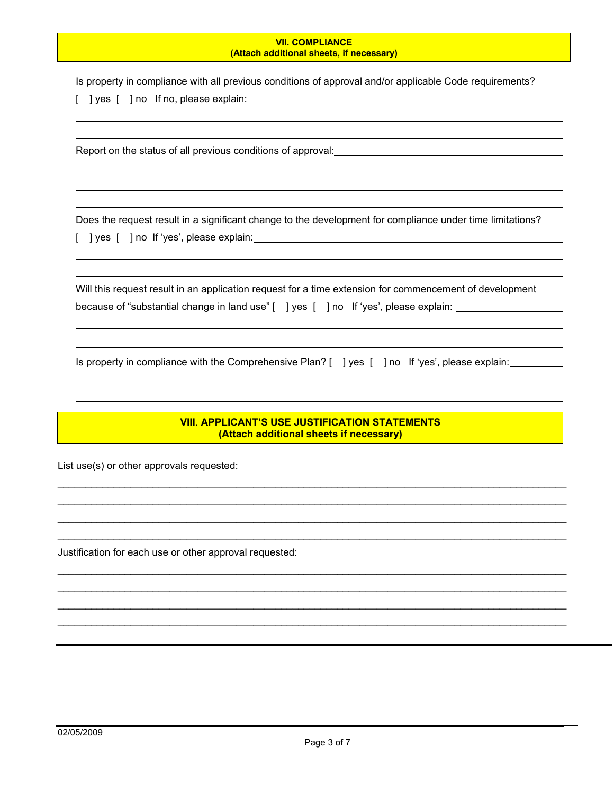#### **VII. COMPLIANCE (Attach additional sheets, if necessary)**

Is property in compliance with all previous conditions of approval and/or applicable Code requirements? [ ] yes [ ] no If no, please explain: \_\_\_\_\_\_\_\_\_\_

Report on the status of all previous conditions of approval:

Does the request result in a significant change to the development for compliance under time limitations? [ ] yes [ ] no If 'yes', please explain:

| Will this request result in an application request for a time extension for commencement of development |  |
|---------------------------------------------------------------------------------------------------------|--|
| because of "substantial change in land use" [ ] yes [ ] no If 'yes', please explain:                    |  |

Is property in compliance with the Comprehensive Plan? [ ] yes [ ] no If 'yes', please explain:

#### **VIII. APPLICANT'S USE JUSTIFICATION STATEMENTS (Attach additional sheets if necessary)**

 $\mathcal{L}_\mathcal{L}$  , and the contribution of the contribution of the contribution of the contribution of the contribution of the contribution of the contribution of the contribution of the contribution of the contribution of  $\mathcal{L}_\mathcal{L}$  , and the contribution of the contribution of the contribution of the contribution of the contribution of the contribution of the contribution of the contribution of the contribution of the contribution of  $\_$  ,  $\_$  ,  $\_$  ,  $\_$  ,  $\_$  ,  $\_$  ,  $\_$  ,  $\_$  ,  $\_$  ,  $\_$  ,  $\_$  ,  $\_$  ,  $\_$  ,  $\_$  ,  $\_$  ,  $\_$  ,  $\_$  ,  $\_$  ,  $\_$  ,  $\_$  ,  $\_$  ,  $\_$  ,  $\_$  ,  $\_$  ,  $\_$  ,  $\_$  ,  $\_$  ,  $\_$  ,  $\_$  ,  $\_$  ,  $\_$  ,  $\_$  ,  $\_$  ,  $\_$  ,  $\_$  ,  $\_$  ,  $\_$  ,  $\_$  ,  $\_$  ,  $\_$  ,  $\_$  ,  $\_$  ,  $\_$  ,  $\_$  ,  $\_$  ,  $\_$  ,  $\_$  ,  $\_$  ,  $\_$  ,  $\_$  ,  $\_$  ,  $\_$  ,  $\_$  ,  $\_$  ,  $\_$  ,  $\_$  ,  $\_$  ,  $\_$  ,  $\_$  ,  $\_$  ,  $\_$  ,  $\_$  ,  $\_$  ,  $\_$  ,  $\_$  ,  $\_$  ,  $\_$  ,  $\_$  ,  $\_$  ,  $\_$  ,  $\_$  ,  $\_$  ,  $\_$  ,  $\_$  ,

 $\_$  ,  $\_$  ,  $\_$  ,  $\_$  ,  $\_$  ,  $\_$  ,  $\_$  ,  $\_$  ,  $\_$  ,  $\_$  ,  $\_$  ,  $\_$  ,  $\_$  ,  $\_$  ,  $\_$  ,  $\_$  ,  $\_$  ,  $\_$  ,  $\_$  ,  $\_$  ,  $\_$  ,  $\_$  ,  $\_$  ,  $\_$  ,  $\_$  ,  $\_$  ,  $\_$  ,  $\_$  ,  $\_$  ,  $\_$  ,  $\_$  ,  $\_$  ,  $\_$  ,  $\_$  ,  $\_$  ,  $\_$  ,  $\_$  ,  $\_$  , and the set of the set of the set of the set of the set of the set of the set of the set of the set of the set of the set of the set of the set of the set of the set of the set of the set of the set of the set of th  $\_$  , and the set of the set of the set of the set of the set of the set of the set of the set of the set of the set of the set of the set of the set of the set of the set of the set of the set of the set of the set of th  $\_$  , and the set of the set of the set of the set of the set of the set of the set of the set of the set of the set of the set of the set of the set of the set of the set of the set of the set of the set of the set of th

List use(s) or other approvals requested:

Justification for each use or other approval requested:

 $\overline{a}$ 

 $\overline{a}$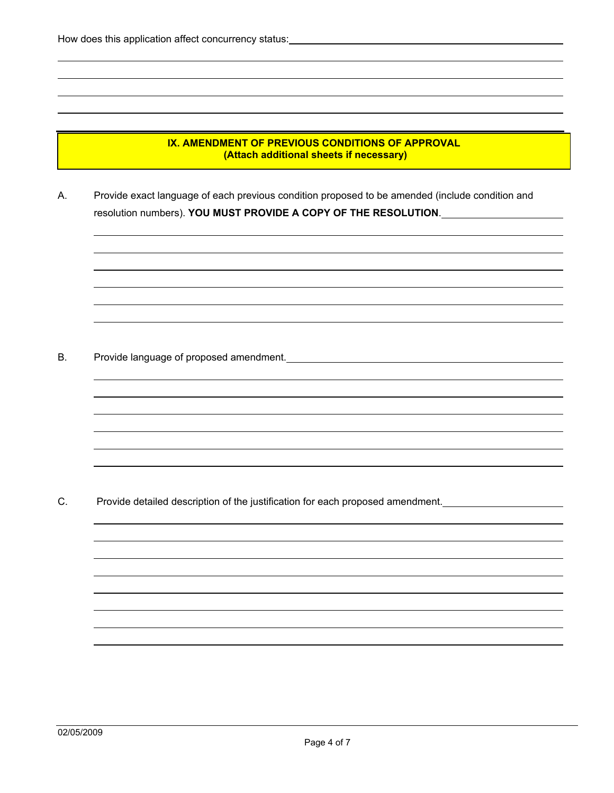$\overline{a}$ 

 $\overline{a}$ 

 $\overline{a}$ 

 $\overline{a}$ 

#### **IX. AMENDMENT OF PREVIOUS CONDITIONS OF APPROVAL (Attach additional sheets if necessary)**

A. Provide exact language of each previous condition proposed to be amended (include condition and resolution numbers). **YOU MUST PROVIDE A COPY OF THE RESOLUTION**.

B. Provide language of proposed amendment. <u>Communical Communications</u>

C. Provide detailed description of the justification for each proposed amendment.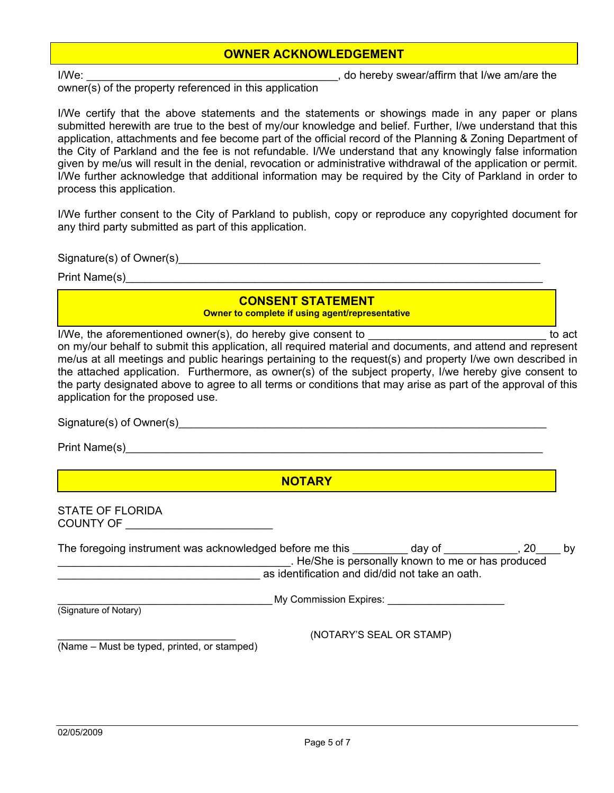### **OWNER ACKNOWLEDGEMENT**

I/We: \_\_\_\_\_\_\_\_\_\_\_\_\_\_\_\_\_\_\_\_\_\_\_\_\_\_\_\_\_\_\_\_\_\_\_\_\_\_\_\_\_, do hereby swear/affirm that I/we am/are the

owner(s) of the property referenced in this application

I/We certify that the above statements and the statements or showings made in any paper or plans submitted herewith are true to the best of my/our knowledge and belief. Further, I/we understand that this application, attachments and fee become part of the official record of the Planning & Zoning Department of the City of Parkland and the fee is not refundable. I/We understand that any knowingly false information given by me/us will result in the denial, revocation or administrative withdrawal of the application or permit. I/We further acknowledge that additional information may be required by the City of Parkland in order to process this application.

I/We further consent to the City of Parkland to publish, copy or reproduce any copyrighted document for any third party submitted as part of this application.

Signature(s) of Owner(s)\_\_\_\_\_\_\_\_\_\_\_\_\_\_\_\_\_\_\_\_\_\_\_\_\_\_\_\_\_\_\_\_\_\_\_\_\_\_\_\_\_\_\_\_\_\_\_\_\_\_\_\_\_\_\_\_\_\_\_

Print Name(s)

### **CONSENT STATEMENT**

**Owner to complete if using agent/representative** 

I/We, the aforementioned owner(s), do hereby give consent to **EXACCLUSE 2008** to act

on my/our behalf to submit this application, all required material and documents, and attend and represent me/us at all meetings and public hearings pertaining to the request(s) and property I/we own described in the attached application. Furthermore, as owner(s) of the subject property, I/we hereby give consent to the party designated above to agree to all terms or conditions that may arise as part of the approval of this application for the proposed use.

| Signature(s) of Owner(s) |  |  |
|--------------------------|--|--|
|                          |  |  |

Print Name(s)

**NOTARY**

STATE OF FLORIDA COUNTY OF \_\_\_\_\_\_\_\_\_\_\_\_\_\_\_\_\_\_\_\_\_\_\_\_

| The foregoing instrument was acknowledged before me this |                                                 | day of                                           | 20 | bv |
|----------------------------------------------------------|-------------------------------------------------|--------------------------------------------------|----|----|
|                                                          |                                                 | He/She is personally known to me or has produced |    |    |
|                                                          | as identification and did/did not take an oath. |                                                  |    |    |
|                                                          | My Commission Expires:                          |                                                  |    |    |
| (Signature of Notary)                                    |                                                 |                                                  |    |    |
|                                                          |                                                 | (NOTARY'S SEAL OR STAMP)                         |    |    |
| (Name – Must be typed, printed, or stamped)              |                                                 |                                                  |    |    |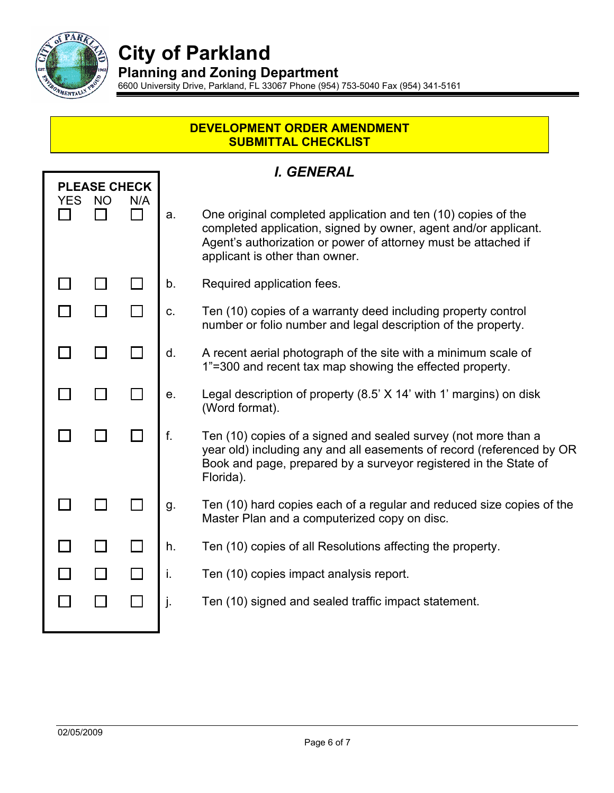

Ī

# **City of Parkland**

**Planning and Zoning Department** 

6600 University Drive, Parkland, FL 33067 Phone (954) 753-5040 Fax (954) 341-5161

### **DEVELOPMENT ORDER AMENDMENT SUBMITTAL CHECKLIST**

## *I. GENERAL*

| <b>YES</b> | <b>PLEASE CHECK</b><br><b>NO</b> | N/A            |    |                                                                                                                                                                                                                                      |
|------------|----------------------------------|----------------|----|--------------------------------------------------------------------------------------------------------------------------------------------------------------------------------------------------------------------------------------|
|            |                                  | $\blacksquare$ | a. | One original completed application and ten (10) copies of the<br>completed application, signed by owner, agent and/or applicant.<br>Agent's authorization or power of attorney must be attached if<br>applicant is other than owner. |
|            |                                  |                | b. | Required application fees.                                                                                                                                                                                                           |
|            |                                  |                | C. | Ten (10) copies of a warranty deed including property control<br>number or folio number and legal description of the property.                                                                                                       |
|            |                                  |                | d. | A recent aerial photograph of the site with a minimum scale of<br>1"=300 and recent tax map showing the effected property.                                                                                                           |
|            |                                  |                | е. | Legal description of property (8.5' X 14' with 1' margins) on disk<br>(Word format).                                                                                                                                                 |
|            |                                  |                | f. | Ten (10) copies of a signed and sealed survey (not more than a<br>year old) including any and all easements of record (referenced by OR<br>Book and page, prepared by a surveyor registered in the State of<br>Florida).             |
|            |                                  |                | g. | Ten (10) hard copies each of a regular and reduced size copies of the<br>Master Plan and a computerized copy on disc.                                                                                                                |
|            |                                  |                | h. | Ten (10) copies of all Resolutions affecting the property.                                                                                                                                                                           |
|            |                                  |                | i. | Ten (10) copies impact analysis report.                                                                                                                                                                                              |
|            |                                  |                | J. | Ten (10) signed and sealed traffic impact statement.                                                                                                                                                                                 |